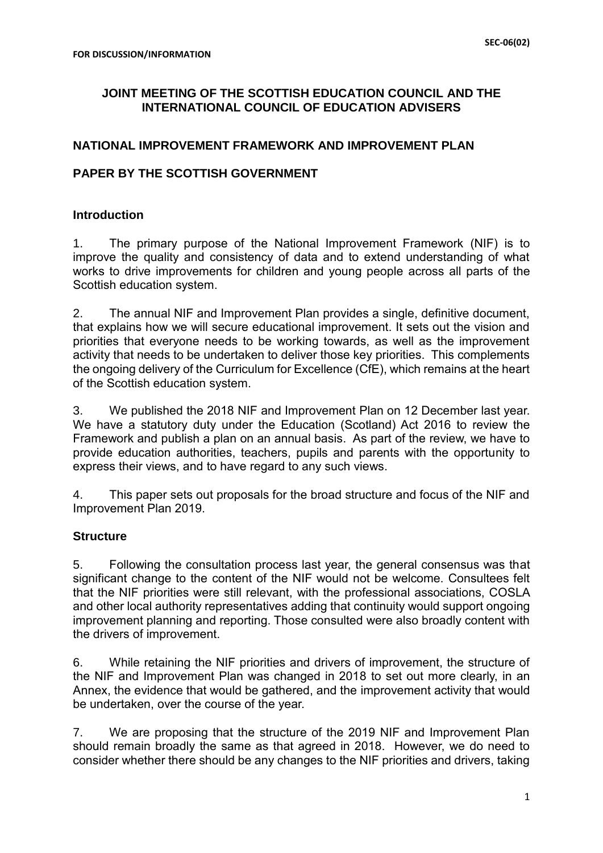## **JOINT MEETING OF THE SCOTTISH EDUCATION COUNCIL AND THE INTERNATIONAL COUNCIL OF EDUCATION ADVISERS**

### **NATIONAL IMPROVEMENT FRAMEWORK AND IMPROVEMENT PLAN**

## **PAPER BY THE SCOTTISH GOVERNMENT**

### **Introduction**

1. The primary purpose of the National Improvement Framework (NIF) is to improve the quality and consistency of data and to extend understanding of what works to drive improvements for children and young people across all parts of the Scottish education system.

2. The annual NIF and Improvement Plan provides a single, definitive document, that explains how we will secure educational improvement. It sets out the vision and priorities that everyone needs to be working towards, as well as the improvement activity that needs to be undertaken to deliver those key priorities. This complements the ongoing delivery of the Curriculum for Excellence (CfE), which remains at the heart of the Scottish education system.

3. We published the 2018 NIF and Improvement Plan on 12 December last year. We have a statutory duty under the Education (Scotland) Act 2016 to review the Framework and publish a plan on an annual basis. As part of the review, we have to provide education authorities, teachers, pupils and parents with the opportunity to express their views, and to have regard to any such views.

4. This paper sets out proposals for the broad structure and focus of the NIF and Improvement Plan 2019.

### **Structure**

5. Following the consultation process last year, the general consensus was that significant change to the content of the NIF would not be welcome. Consultees felt that the NIF priorities were still relevant, with the professional associations, COSLA and other local authority representatives adding that continuity would support ongoing improvement planning and reporting. Those consulted were also broadly content with the drivers of improvement.

6. While retaining the NIF priorities and drivers of improvement, the structure of the NIF and Improvement Plan was changed in 2018 to set out more clearly, in an Annex, the evidence that would be gathered, and the improvement activity that would be undertaken, over the course of the year.

7. We are proposing that the structure of the 2019 NIF and Improvement Plan should remain broadly the same as that agreed in 2018. However, we do need to consider whether there should be any changes to the NIF priorities and drivers, taking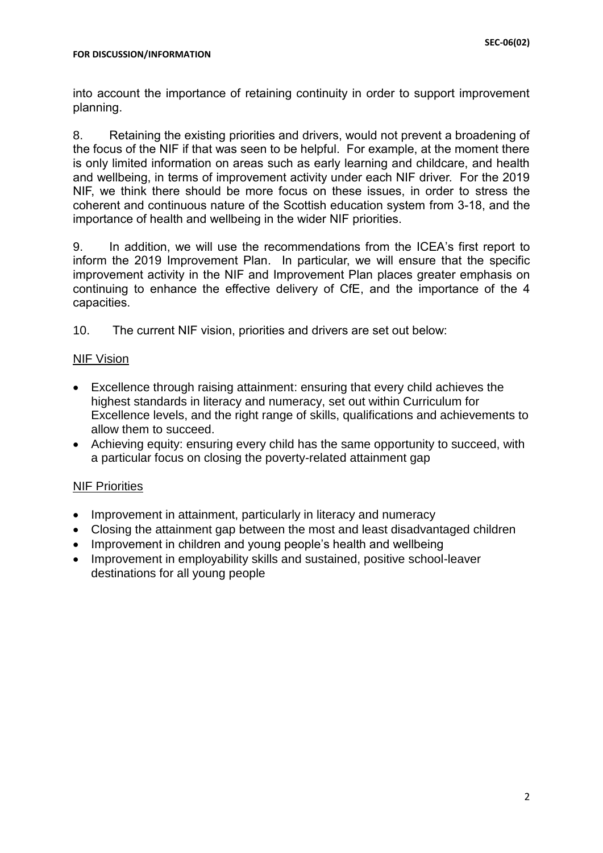into account the importance of retaining continuity in order to support improvement planning.

8. Retaining the existing priorities and drivers, would not prevent a broadening of the focus of the NIF if that was seen to be helpful. For example, at the moment there is only limited information on areas such as early learning and childcare, and health and wellbeing, in terms of improvement activity under each NIF driver. For the 2019 NIF, we think there should be more focus on these issues, in order to stress the coherent and continuous nature of the Scottish education system from 3-18, and the importance of health and wellbeing in the wider NIF priorities.

9. In addition, we will use the recommendations from the ICEA's first report to inform the 2019 Improvement Plan. In particular, we will ensure that the specific improvement activity in the NIF and Improvement Plan places greater emphasis on continuing to enhance the effective delivery of CfE, and the importance of the 4 capacities.

10. The current NIF vision, priorities and drivers are set out below:

## NIF Vision

- Excellence through raising attainment: ensuring that every child achieves the highest standards in literacy and numeracy, set out within Curriculum for Excellence levels, and the right range of skills, qualifications and achievements to allow them to succeed.
- Achieving equity: ensuring every child has the same opportunity to succeed, with a particular focus on closing the poverty-related attainment gap

# NIF Priorities

- Improvement in attainment, particularly in literacy and numeracy
- Closing the attainment gap between the most and least disadvantaged children
- Improvement in children and young people's health and wellbeing
- Improvement in employability skills and sustained, positive school-leaver destinations for all young people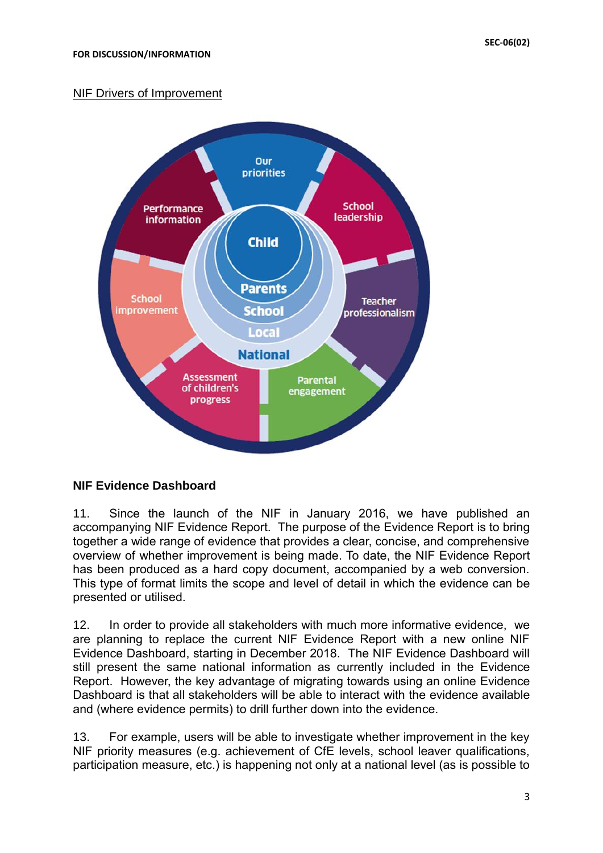# NIF Drivers of Improvement



# **NIF Evidence Dashboard**

11. Since the launch of the NIF in January 2016, we have published an accompanying NIF Evidence Report. The purpose of the Evidence Report is to bring together a wide range of evidence that provides a clear, concise, and comprehensive overview of whether improvement is being made. To date, the NIF Evidence Report has been produced as a hard copy document, accompanied by a web conversion. This type of format limits the scope and level of detail in which the evidence can be presented or utilised.

12. In order to provide all stakeholders with much more informative evidence, we are planning to replace the current NIF Evidence Report with a new online NIF Evidence Dashboard, starting in December 2018.The NIF Evidence Dashboard will still present the same national information as currently included in the Evidence Report. However, the key advantage of migrating towards using an online Evidence Dashboard is that all stakeholders will be able to interact with the evidence available and (where evidence permits) to drill further down into the evidence.

13. For example, users will be able to investigate whether improvement in the key NIF priority measures (e.g. achievement of CfE levels, school leaver qualifications, participation measure, etc.) is happening not only at a national level (as is possible to